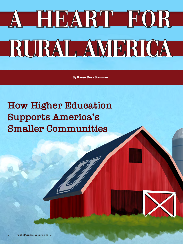## A HEART FOR RURAL AMERICA

**By Karen Doss Bowman**

**How Higher Education Supports America's Smaller Communities**

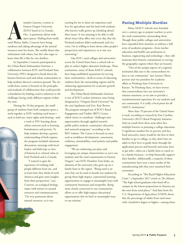manda Courtois, a senior a<br>Eastern Oregon University<br>(EOU) based in La Grande<br>Ore., is passionate about w<br>open spaces. Hailing from<br>rural Weiser, Idaho, Courtois loves being manda Courtois, a senior at Eastern Oregon University (EOU) based in La Grande, Ore., is passionate about wide open spaces. Hailing from small,

outdoors and taking advantage of the natural resources near her home. She readily shares that enthusiasm with others, but she's also eager to learn what life is like for city dwellers.

In September, Courtois participated in the Urban-Rural Ambassadors Institute, a collaborative between EOU and Portland State University (PSU) designed to break down the barriers between rural and urban communities to help students discover common ground. The sixcredit-hour course is focused on the principles and methods of collaboration that could provide a foundation for finding creative solutions to the challenges facing vastly different regions within the state.

During the 10-day program, the small group of students from both campuses spent a week together at EOU studying rural issues such as land use, water rights and farming—and

> a week at PSU learning about urban concerns such as housing, homelessness and poverty. To help students develop a greater understanding of both regions, the program included classroom discussions, meetings with local leaders and field trips to sites of historical or cultural value in both Portland and La Grande.

"I wanted to gain the experience of working with people different from me, and to learn how they think of rural America and gain some insights from their perspectives," says Courtois, an ecological biology major with minors in natural resources and communications. "I'm very passionate about natural resources, so it was

exciting for me to share my experience and love for agriculture and the land with students who haven't really grown up [thinking about] these issues. It was amazing to be able to talk about issues [that affect me] every day, that the Portland students didn't understand, and vice versa. I'm so willing to learn about other people's perspectives and experiences, so it was very interesting."

Like EOU, rural colleges and universities across the United States have a critical role to play in today's higher education landscape. These institutions, many of them AASCU schools, have long-established reputations for serving their communities—both in terms of educating students from the surrounding regions and by enhancing opportunities for economic growth and development.

The Urban-Rural Ambassador Institute is one of EOU's earliest initiatives since being designated as "Oregon's Rural University" by the state legislature and Gov. Kate Brown. The program emerged out of EOU's Rural Engagement and Vitality (REV) Center, which strives to transform "challenges into opportunities through applied research, public policy analysis, community education and outreach programs," according to the REV website. The Center is focused on areas such as workforce development, community resiliency, sustainability, rural policies and public engagement.

"We are embracing our place and leveraging our unique characteristics to serve our students and the rural communities in Eastern Oregon," says EOU President Tom Insko, an alumnus of the university who grew up on a family farm in the region. "Being rural is an asset that can be used to benefit our students by giving them high-impact, experiential learning opportunities to engage in meaningful ways with community businesses and nonprofits. Being more closely connected to our communities allows us to offer high-impact educational opportunities that tie back in meaningful ways to our mission."

## **Facing Multiple Hurdles**

Many AASCU schools were founded over a century ago to prepare teachers to serve the rural communities surrounding them. Though these public colleges and universities have expanded their missions to embrace a full array of academic programs—from teacher education and health care professions to business, engineering and technology—they still maintain their historic commitment to serving the geographic regions where they are located.

"One of the unique aspects of a regional institution like ours is the connectedness we have to our community," says Lynette Olson, provost and vice president for academic affairs at Pittsburg State University in Kansas. "At Pittsburg State, we have woven that connectedness into our university's mission statement, so we aim to provide a transformational experience for our students and our community. It is really a focal point for all AASCU institutions."

More than 70 percent of the United States is rural, according to research by East Carolina University's (ECU) Rural Prosperity Initiative. And yet youth from these areas often face multiple barriers to pursuing a college education. A significant number live in poverty and face food insecurity; many would be the first in their families to go to college, so they don't have an adult in their lives to guide them through the application process and beyond; and many have to get jobs—often on a family farm or ranch or in a family business—to help financially support their families. Additionally, a majority of these communities have seen a mass exodus of the manufacturing jobs that once sustained their economies.

According to "The Rural Higher-Education Crisis," a September 2017 article in *The Atlantic*, "The high school graduates who head off to campus in the lowest proportions in America are the ones from rural places." And data from the U.S. Department of Agriculture (USDA) shows that the percentage of adults from rural areas with a bachelor's degree or higher—among those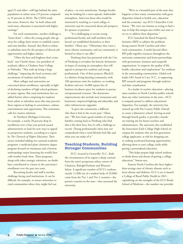aged 25 and older—still lags behind the same population in urban areas (19 percent compared to 33 percent in 2016). The USDA study also notes, however, that "in both urban and rural areas, education is associated with higher earnings."

For rural communities, another challenge is "brain drain"—when the young people who go away for college don't return to establish careers and raise families. Instead, they flock to urban or suburban areas for the prospect of diverse job opportunities and higher salaries.

"Often the best and brightest don't come back," says Charles Snare, vice president of academic affairs at Chadron State College in Nebraska. "That ends up being a huge challenge," impacting the local economy and recruitment of students and faculty.

Most colleges and universities are concerned about enrollment, especially in light of declining numbers of high school graduates in many regions. But rural institutions face an added barrier when competing for students from urban or suburban areas who may perceive these regions as lacking in convenience, culture, entertainment and opportunity. This sometimes calls for creative solutions.

At Northern Michigan University, for example, a nearly 20 percent drop in enrollment over a four-year period caused administrators to look for new ways to appeal to prospective students, according to a report by *The Chronicle of Higher Education*. Their tactics included adding two unusual academic programs: a medicinal plant chemistry degree program focused on marijuana and a forensic anthropology major featuring the world's first cold-weather body farm. These programs, along with other strategic initiatives, no doubt have contributed to a boost in the university's enrollment over the past two years.

Recruiting faculty and staff is another challenge facing rural institutions. It can be difficult, for example, to attract minorities to rural communities where they might feel out of place—or even unwelcome. Younger faculty may be looking for a more upscale, fashionable atmosphere. And even those who would be interested in teaching at a rural college or university may be concerned about job prospects for spouses or partners.

"It is challenging to recruit young professional faculty and staff members who haven't yet established themselves or their families," Olson says. "Oftentimes they want a more vibrant community, and our community is limited in what it can offer."

Pittsburg State has partnered with the City of Pittsburg to revitalize the historic downtown in hopes of creating an atmosphere that will appeal to prospective students and young professionals. One of their projects, Block22, is a distinct living-learning community with 100 apartment units for students, co-working facilities and over 16,000 square feet of business incubator space for students to pursue entrepreneurial ventures. The downtown improvements also include new restaurants and businesses, improved lighting and sidewalks, and other infrastructure upgrades.

"It gives the community a different vibe than it had in the recent past," Olson says. "We have had a good number of young families coming back to Pittsburg who find that it fits their lives, but it's still a challenge to recruit. [Young professionals] often may not comprehend what a rural lifestyle feels like and what you can make of it."

## **Teaching Students, Building Stronger Communities**

ECU, located in Greenville, N.C., finds the circumstances of its region a sharp contrast from the state's prosperous urban centers of Charlotte, Raleigh/Durham and Winston-Salem. A significant number of ECU's students (nearly 11,000 out of a student body of 29,000) come from the Tier 1 and Tier 2 counties—the poorest counties in the state—that surround the university.

"We're in a beautiful part of the state that happens to have many communities with great disparities related to health care, education and the economy," says ECU Chancellor Cecil Staton. "We view our mission as trying to find a way to help this unique area within our state as we try to address these disparities."

ECU launched the Rural Prosperity Initiative (RPI) to address the problems facing eastern North Carolina and other rural communities. A multi-faceted effort, RPI pulls together resources throughout the university community and forms partnerships with government, business and nonprofit organizations "to improve the quality of life, health, education and employment" for residents in the surrounding communities. Global tech leader SAS, based in Cary, N.C., is supporting RPI research and programs through analytics and data visualization.

As a leader in teacher education—placing more teachers in North Carolina public schools than any other institution in the state—ECU is uniquely poised to address educational disparities. For example, the university has teamed up with Pitt County Public Schools to create a laboratory school. Serving second through fourth grades, it provides a handson training site for future teachers and administrators. The university also established the Innovation Early College High School on campus for students who are first-generation college applicants, at risk for dropping out, or seeking accelerated learning opportunities, allowing them to earn college credit while getting a personalized education.

"This helps prepare high school students to think about and dream of getting a college education," Staton says.

Eastern North Carolina also faces higherthan-average rates of chronic diseases such as heart disease and diabetes. ECU is set to launch a College of Rural Public Health in 2021, capitalizing on the strengths of the ECU Brody School of Medicine—the number one provider